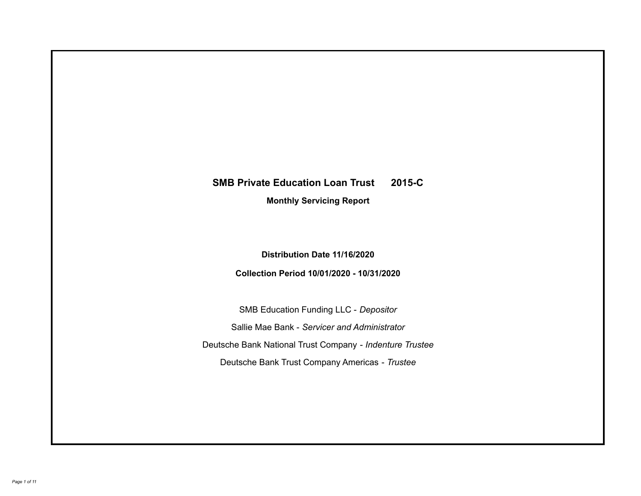# **SMB Private Education Loan Trust 2015-C Monthly Servicing Report**

**Distribution Date 11/16/2020**

**Collection Period 10/01/2020 - 10/31/2020**

SMB Education Funding LLC - *Depositor* Sallie Mae Bank - *Servicer and Administrator* Deutsche Bank National Trust Company - *Indenture Trustee* Deutsche Bank Trust Company Americas - *Trustee*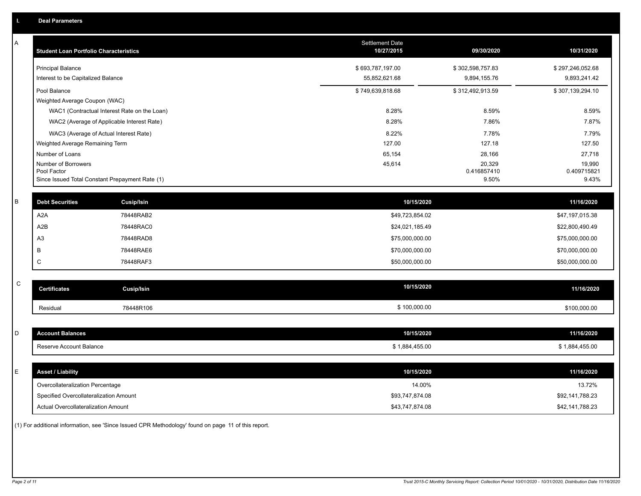| A       | <b>Student Loan Portfolio Characteristics</b>   |                   | <b>Settlement Date</b><br>10/27/2015 | 09/30/2020            | 10/31/2020            |
|---------|-------------------------------------------------|-------------------|--------------------------------------|-----------------------|-----------------------|
|         | <b>Principal Balance</b>                        |                   | \$693,787,197.00                     | \$302,598,757.83      | \$297,246,052.68      |
|         | Interest to be Capitalized Balance              |                   | 55,852,621.68                        | 9,894,155.76          | 9,893,241.42          |
|         | Pool Balance                                    |                   | \$749,639,818.68                     | \$312,492,913.59      | \$307,139,294.10      |
|         | Weighted Average Coupon (WAC)                   |                   |                                      |                       |                       |
|         | WAC1 (Contractual Interest Rate on the Loan)    |                   | 8.28%                                | 8.59%                 | 8.59%                 |
|         | WAC2 (Average of Applicable Interest Rate)      |                   | 8.28%                                | 7.86%                 | 7.87%                 |
|         | WAC3 (Average of Actual Interest Rate)          |                   | 8.22%                                | 7.78%                 | 7.79%                 |
|         | Weighted Average Remaining Term                 |                   | 127.00                               | 127.18                | 127.50                |
|         | Number of Loans                                 |                   | 65,154                               | 28,166                | 27,718                |
|         | Number of Borrowers<br>Pool Factor              |                   | 45,614                               | 20,329<br>0.416857410 | 19,990<br>0.409715821 |
|         | Since Issued Total Constant Prepayment Rate (1) |                   |                                      | 9.50%                 | 9.43%                 |
| $\sf B$ | <b>Debt Securities</b>                          | <b>Cusip/Isin</b> | 10/15/2020                           |                       | 11/16/2020            |
|         | A <sub>2</sub> A                                | 78448RAB2         | \$49,723,854.02                      |                       | \$47,197,015.38       |
|         | A <sub>2</sub> B                                | 78448RAC0         | \$24,021,185.49                      |                       | \$22,800,490.49       |
|         | A <sub>3</sub>                                  | 78448RAD8         | \$75,000,000.00                      |                       | \$75,000,000.00       |
|         | B                                               | 78448RAE6         | \$70,000,000.00                      |                       | \$70,000,000.00       |
|         | C                                               | 78448RAF3         |                                      |                       |                       |
|         |                                                 |                   | \$50,000,000.00                      |                       | \$50,000,000.00       |
| C       | <b>Certificates</b>                             | Cusip/Isin        | 10/15/2020                           |                       | 11/16/2020            |
|         | Residual                                        | 78448R106         | \$100,000.00                         |                       | \$100,000.00          |
|         |                                                 |                   |                                      |                       |                       |
| D       | <b>Account Balances</b>                         |                   | 10/15/2020                           |                       | 11/16/2020            |
|         | Reserve Account Balance                         |                   | \$1,884,455.00                       |                       | \$1,884,455.00        |
|         |                                                 |                   |                                      |                       |                       |
| E       | <b>Asset / Liability</b>                        |                   | 10/15/2020                           |                       | 11/16/2020            |
|         | Overcollateralization Percentage                |                   | 14.00%                               |                       | 13.72%                |
|         | Specified Overcollateralization Amount          |                   | \$93,747,874.08                      |                       | \$92,141,788.23       |
|         | Actual Overcollateralization Amount             |                   | \$43,747,874.08                      |                       | \$42,141,788.23       |

(1) For additional information, see 'Since Issued CPR Methodology' found on page 11 of this report.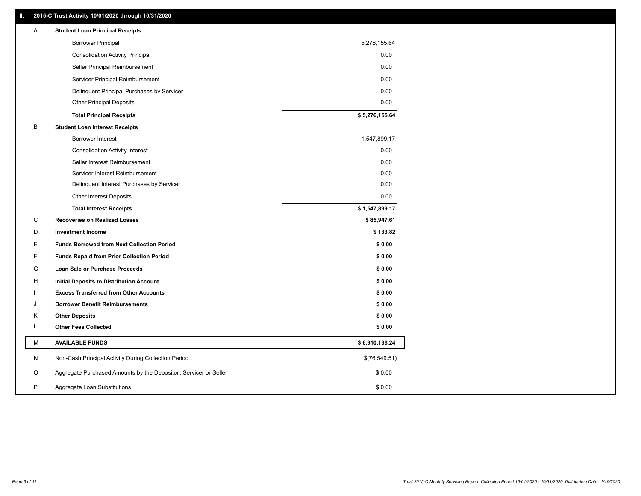## **II. 2015-C Trust Activity 10/01/2020 through 10/31/2020**

| <b>Borrower Principal</b><br>5,276,155.64<br><b>Consolidation Activity Principal</b><br>0.00<br>0.00<br>Seller Principal Reimbursement<br>0.00<br>Servicer Principal Reimbursement<br>0.00<br>Delinquent Principal Purchases by Servicer<br>0.00<br><b>Other Principal Deposits</b><br>\$5,276,155.64<br><b>Total Principal Receipts</b><br>В<br><b>Student Loan Interest Receipts</b><br><b>Borrower Interest</b><br>1,547,899.17<br>0.00<br><b>Consolidation Activity Interest</b><br>0.00<br>Seller Interest Reimbursement<br>Servicer Interest Reimbursement<br>0.00<br>0.00<br>Delinquent Interest Purchases by Servicer<br>0.00<br>Other Interest Deposits<br>\$1,547,899.17<br><b>Total Interest Receipts</b><br>C<br>\$85,947.61<br><b>Recoveries on Realized Losses</b><br>D<br><b>Investment Income</b><br>\$133.82<br><b>Funds Borrowed from Next Collection Period</b><br>\$0.00<br>Е<br>F<br>\$0.00<br><b>Funds Repaid from Prior Collection Period</b><br>G<br>\$0.00<br>Loan Sale or Purchase Proceeds<br>\$0.00<br>H<br>Initial Deposits to Distribution Account<br>\$0.00<br><b>Excess Transferred from Other Accounts</b><br>\$0.00<br><b>Borrower Benefit Reimbursements</b><br>J<br>Κ<br><b>Other Deposits</b><br>\$0.00<br>L<br><b>Other Fees Collected</b><br>\$0.00<br>М<br><b>AVAILABLE FUNDS</b><br>\$6,910,136.24<br>N<br>Non-Cash Principal Activity During Collection Period<br>\$(76,549.51)<br>Aggregate Purchased Amounts by the Depositor, Servicer or Seller<br>O<br>\$0.00<br>P<br>Aggregate Loan Substitutions<br>\$0.00 | Α | <b>Student Loan Principal Receipts</b> |  |
|-------------------------------------------------------------------------------------------------------------------------------------------------------------------------------------------------------------------------------------------------------------------------------------------------------------------------------------------------------------------------------------------------------------------------------------------------------------------------------------------------------------------------------------------------------------------------------------------------------------------------------------------------------------------------------------------------------------------------------------------------------------------------------------------------------------------------------------------------------------------------------------------------------------------------------------------------------------------------------------------------------------------------------------------------------------------------------------------------------------------------------------------------------------------------------------------------------------------------------------------------------------------------------------------------------------------------------------------------------------------------------------------------------------------------------------------------------------------------------------------------------------------------------------------------------------|---|----------------------------------------|--|
|                                                                                                                                                                                                                                                                                                                                                                                                                                                                                                                                                                                                                                                                                                                                                                                                                                                                                                                                                                                                                                                                                                                                                                                                                                                                                                                                                                                                                                                                                                                                                             |   |                                        |  |
|                                                                                                                                                                                                                                                                                                                                                                                                                                                                                                                                                                                                                                                                                                                                                                                                                                                                                                                                                                                                                                                                                                                                                                                                                                                                                                                                                                                                                                                                                                                                                             |   |                                        |  |
|                                                                                                                                                                                                                                                                                                                                                                                                                                                                                                                                                                                                                                                                                                                                                                                                                                                                                                                                                                                                                                                                                                                                                                                                                                                                                                                                                                                                                                                                                                                                                             |   |                                        |  |
|                                                                                                                                                                                                                                                                                                                                                                                                                                                                                                                                                                                                                                                                                                                                                                                                                                                                                                                                                                                                                                                                                                                                                                                                                                                                                                                                                                                                                                                                                                                                                             |   |                                        |  |
|                                                                                                                                                                                                                                                                                                                                                                                                                                                                                                                                                                                                                                                                                                                                                                                                                                                                                                                                                                                                                                                                                                                                                                                                                                                                                                                                                                                                                                                                                                                                                             |   |                                        |  |
|                                                                                                                                                                                                                                                                                                                                                                                                                                                                                                                                                                                                                                                                                                                                                                                                                                                                                                                                                                                                                                                                                                                                                                                                                                                                                                                                                                                                                                                                                                                                                             |   |                                        |  |
|                                                                                                                                                                                                                                                                                                                                                                                                                                                                                                                                                                                                                                                                                                                                                                                                                                                                                                                                                                                                                                                                                                                                                                                                                                                                                                                                                                                                                                                                                                                                                             |   |                                        |  |
|                                                                                                                                                                                                                                                                                                                                                                                                                                                                                                                                                                                                                                                                                                                                                                                                                                                                                                                                                                                                                                                                                                                                                                                                                                                                                                                                                                                                                                                                                                                                                             |   |                                        |  |
|                                                                                                                                                                                                                                                                                                                                                                                                                                                                                                                                                                                                                                                                                                                                                                                                                                                                                                                                                                                                                                                                                                                                                                                                                                                                                                                                                                                                                                                                                                                                                             |   |                                        |  |
|                                                                                                                                                                                                                                                                                                                                                                                                                                                                                                                                                                                                                                                                                                                                                                                                                                                                                                                                                                                                                                                                                                                                                                                                                                                                                                                                                                                                                                                                                                                                                             |   |                                        |  |
|                                                                                                                                                                                                                                                                                                                                                                                                                                                                                                                                                                                                                                                                                                                                                                                                                                                                                                                                                                                                                                                                                                                                                                                                                                                                                                                                                                                                                                                                                                                                                             |   |                                        |  |
|                                                                                                                                                                                                                                                                                                                                                                                                                                                                                                                                                                                                                                                                                                                                                                                                                                                                                                                                                                                                                                                                                                                                                                                                                                                                                                                                                                                                                                                                                                                                                             |   |                                        |  |
|                                                                                                                                                                                                                                                                                                                                                                                                                                                                                                                                                                                                                                                                                                                                                                                                                                                                                                                                                                                                                                                                                                                                                                                                                                                                                                                                                                                                                                                                                                                                                             |   |                                        |  |
|                                                                                                                                                                                                                                                                                                                                                                                                                                                                                                                                                                                                                                                                                                                                                                                                                                                                                                                                                                                                                                                                                                                                                                                                                                                                                                                                                                                                                                                                                                                                                             |   |                                        |  |
|                                                                                                                                                                                                                                                                                                                                                                                                                                                                                                                                                                                                                                                                                                                                                                                                                                                                                                                                                                                                                                                                                                                                                                                                                                                                                                                                                                                                                                                                                                                                                             |   |                                        |  |
|                                                                                                                                                                                                                                                                                                                                                                                                                                                                                                                                                                                                                                                                                                                                                                                                                                                                                                                                                                                                                                                                                                                                                                                                                                                                                                                                                                                                                                                                                                                                                             |   |                                        |  |
|                                                                                                                                                                                                                                                                                                                                                                                                                                                                                                                                                                                                                                                                                                                                                                                                                                                                                                                                                                                                                                                                                                                                                                                                                                                                                                                                                                                                                                                                                                                                                             |   |                                        |  |
|                                                                                                                                                                                                                                                                                                                                                                                                                                                                                                                                                                                                                                                                                                                                                                                                                                                                                                                                                                                                                                                                                                                                                                                                                                                                                                                                                                                                                                                                                                                                                             |   |                                        |  |
|                                                                                                                                                                                                                                                                                                                                                                                                                                                                                                                                                                                                                                                                                                                                                                                                                                                                                                                                                                                                                                                                                                                                                                                                                                                                                                                                                                                                                                                                                                                                                             |   |                                        |  |
|                                                                                                                                                                                                                                                                                                                                                                                                                                                                                                                                                                                                                                                                                                                                                                                                                                                                                                                                                                                                                                                                                                                                                                                                                                                                                                                                                                                                                                                                                                                                                             |   |                                        |  |
|                                                                                                                                                                                                                                                                                                                                                                                                                                                                                                                                                                                                                                                                                                                                                                                                                                                                                                                                                                                                                                                                                                                                                                                                                                                                                                                                                                                                                                                                                                                                                             |   |                                        |  |
|                                                                                                                                                                                                                                                                                                                                                                                                                                                                                                                                                                                                                                                                                                                                                                                                                                                                                                                                                                                                                                                                                                                                                                                                                                                                                                                                                                                                                                                                                                                                                             |   |                                        |  |
|                                                                                                                                                                                                                                                                                                                                                                                                                                                                                                                                                                                                                                                                                                                                                                                                                                                                                                                                                                                                                                                                                                                                                                                                                                                                                                                                                                                                                                                                                                                                                             |   |                                        |  |
|                                                                                                                                                                                                                                                                                                                                                                                                                                                                                                                                                                                                                                                                                                                                                                                                                                                                                                                                                                                                                                                                                                                                                                                                                                                                                                                                                                                                                                                                                                                                                             |   |                                        |  |
|                                                                                                                                                                                                                                                                                                                                                                                                                                                                                                                                                                                                                                                                                                                                                                                                                                                                                                                                                                                                                                                                                                                                                                                                                                                                                                                                                                                                                                                                                                                                                             |   |                                        |  |
|                                                                                                                                                                                                                                                                                                                                                                                                                                                                                                                                                                                                                                                                                                                                                                                                                                                                                                                                                                                                                                                                                                                                                                                                                                                                                                                                                                                                                                                                                                                                                             |   |                                        |  |
|                                                                                                                                                                                                                                                                                                                                                                                                                                                                                                                                                                                                                                                                                                                                                                                                                                                                                                                                                                                                                                                                                                                                                                                                                                                                                                                                                                                                                                                                                                                                                             |   |                                        |  |
|                                                                                                                                                                                                                                                                                                                                                                                                                                                                                                                                                                                                                                                                                                                                                                                                                                                                                                                                                                                                                                                                                                                                                                                                                                                                                                                                                                                                                                                                                                                                                             |   |                                        |  |
|                                                                                                                                                                                                                                                                                                                                                                                                                                                                                                                                                                                                                                                                                                                                                                                                                                                                                                                                                                                                                                                                                                                                                                                                                                                                                                                                                                                                                                                                                                                                                             |   |                                        |  |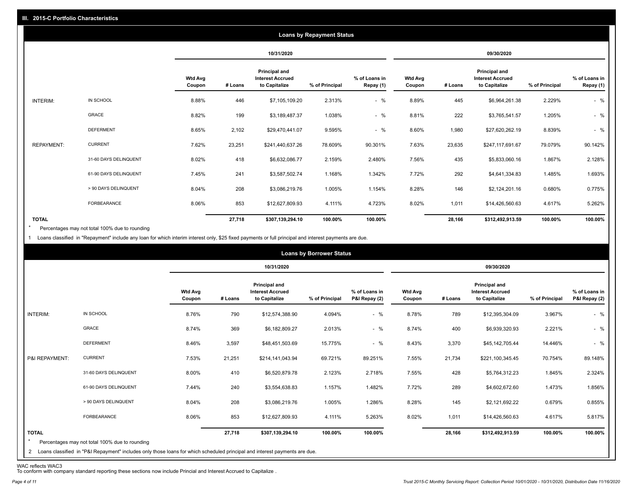|                   |                       |                          |         |                                                                  | <b>Loans by Repayment Status</b> |                            |                          |         |                                                           |                |                            |
|-------------------|-----------------------|--------------------------|---------|------------------------------------------------------------------|----------------------------------|----------------------------|--------------------------|---------|-----------------------------------------------------------|----------------|----------------------------|
|                   |                       |                          |         | 10/31/2020                                                       |                                  |                            |                          |         | 09/30/2020                                                |                |                            |
|                   |                       | <b>Wtd Avg</b><br>Coupon | # Loans | <b>Principal and</b><br><b>Interest Accrued</b><br>to Capitalize | % of Principal                   | % of Loans in<br>Repay (1) | <b>Wtd Avg</b><br>Coupon | # Loans | Principal and<br><b>Interest Accrued</b><br>to Capitalize | % of Principal | % of Loans in<br>Repay (1) |
| INTERIM:          | IN SCHOOL             | 8.88%                    | 446     | \$7,105,109.20                                                   | 2.313%                           | $-$ %                      | 8.89%                    | 445     | \$6,964,261.38                                            | 2.229%         | $-$ %                      |
|                   | GRACE                 | 8.82%                    | 199     | \$3,189,487.37                                                   | 1.038%                           | $-$ %                      | 8.81%                    | 222     | \$3,765,541.57                                            | 1.205%         | $-$ %                      |
|                   | <b>DEFERMENT</b>      | 8.65%                    | 2,102   | \$29,470,441.07                                                  | 9.595%                           | $-$ %                      | 8.60%                    | 1,980   | \$27,620,262.19                                           | 8.839%         | $-$ %                      |
| <b>REPAYMENT:</b> | <b>CURRENT</b>        | 7.62%                    | 23,251  | \$241,440,637.26                                                 | 78.609%                          | 90.301%                    | 7.63%                    | 23,635  | \$247,117,691.67                                          | 79.079%        | 90.142%                    |
|                   | 31-60 DAYS DELINQUENT | 8.02%                    | 418     | \$6,632,086.77                                                   | 2.159%                           | 2.480%                     | 7.56%                    | 435     | \$5,833,060.16                                            | 1.867%         | 2.128%                     |
|                   | 61-90 DAYS DELINQUENT | 7.45%                    | 241     | \$3,587,502.74                                                   | 1.168%                           | 1.342%                     | 7.72%                    | 292     | \$4,641,334.83                                            | 1.485%         | 1.693%                     |
|                   | > 90 DAYS DELINQUENT  | 8.04%                    | 208     | \$3,086,219.76                                                   | 1.005%                           | 1.154%                     | 8.28%                    | 146     | \$2,124,201.16                                            | 0.680%         | 0.775%                     |
|                   | FORBEARANCE           | 8.06%                    | 853     | \$12,627,809.93                                                  | 4.111%                           | 4.723%                     | 8.02%                    | 1,011   | \$14,426,560.63                                           | 4.617%         | 5.262%                     |
| <b>TOTAL</b>      |                       |                          | 27,718  | \$307,139,294.10                                                 | 100.00%                          | 100.00%                    |                          | 28,166  | \$312,492,913.59                                          | 100.00%        | 100.00%                    |

Percentages may not total 100% due to rounding  $\star$ 

1 Loans classified in "Repayment" include any loan for which interim interest only, \$25 fixed payments or full principal and interest payments are due.

| 10/31/2020<br>09/30/2020<br><b>Principal and</b><br><b>Principal and</b><br><b>Wtd Avg</b><br><b>Interest Accrued</b><br>% of Loans in<br><b>Wtd Avg</b><br><b>Interest Accrued</b><br># Loans<br>to Capitalize<br>P&I Repay (2)<br>to Capitalize<br>% of Principal<br>% of Principal<br>Coupon<br># Loans<br>Coupon<br>$-$ %<br>IN SCHOOL<br>INTERIM:<br>8.76%<br>790<br>8.78%<br>789<br>3.967%<br>\$12,574,388.90<br>4.094%<br>\$12,395,304.09<br>GRACE<br>$-$ %<br>8.74%<br>369<br>2.013%<br>8.74%<br>400<br>2.221%<br>\$6,182,809.27<br>\$6,939,320.93<br><b>DEFERMENT</b><br>$-$ %<br>8.46%<br>3,597<br>15.775%<br>8.43%<br>3,370<br>14.446%<br>\$48,451,503.69<br>\$45,142,705.44<br><b>CURRENT</b><br>7.53%<br>21,251<br>7.55%<br>21,734<br>70.754%<br>P&I REPAYMENT:<br>69.721%<br>89.251%<br>\$221,100,345.45<br>\$214,141,043.94<br>31-60 DAYS DELINQUENT<br>8.00%<br>410<br>2.123%<br>2.718%<br>7.55%<br>428<br>1.845%<br>\$6,520,879.78<br>\$5,764,312.23<br>61-90 DAYS DELINQUENT<br>240<br>7.72%<br>289<br>7.44%<br>1.157%<br>1.482%<br>\$4,602,672.60<br>1.473%<br>\$3,554,638.83<br>> 90 DAYS DELINQUENT<br>8.04%<br>208<br>8.28%<br>145<br>1.005%<br>1.286%<br>\$2,121,692.22<br>0.679%<br>\$3,086,219.76<br>FORBEARANCE<br>8.06%<br>853<br>8.02%<br>4.111%<br>5.263%<br>4.617%<br>\$12,627,809.93<br>1,011<br>\$14,426,560.63<br><b>TOTAL</b><br>100.00%<br>27,718<br>100.00%<br>28,166<br>100.00%<br>\$307,139,294.10<br>\$312,492,913.59<br>$\star$<br>Percentages may not total 100% due to rounding |  |  | <b>Loans by Borrower Status</b> |  |  |                                |
|---------------------------------------------------------------------------------------------------------------------------------------------------------------------------------------------------------------------------------------------------------------------------------------------------------------------------------------------------------------------------------------------------------------------------------------------------------------------------------------------------------------------------------------------------------------------------------------------------------------------------------------------------------------------------------------------------------------------------------------------------------------------------------------------------------------------------------------------------------------------------------------------------------------------------------------------------------------------------------------------------------------------------------------------------------------------------------------------------------------------------------------------------------------------------------------------------------------------------------------------------------------------------------------------------------------------------------------------------------------------------------------------------------------------------------------------------------------------------------------------------------------------------|--|--|---------------------------------|--|--|--------------------------------|
|                                                                                                                                                                                                                                                                                                                                                                                                                                                                                                                                                                                                                                                                                                                                                                                                                                                                                                                                                                                                                                                                                                                                                                                                                                                                                                                                                                                                                                                                                                                           |  |  |                                 |  |  |                                |
|                                                                                                                                                                                                                                                                                                                                                                                                                                                                                                                                                                                                                                                                                                                                                                                                                                                                                                                                                                                                                                                                                                                                                                                                                                                                                                                                                                                                                                                                                                                           |  |  |                                 |  |  | % of Loans in<br>P&I Repay (2) |
|                                                                                                                                                                                                                                                                                                                                                                                                                                                                                                                                                                                                                                                                                                                                                                                                                                                                                                                                                                                                                                                                                                                                                                                                                                                                                                                                                                                                                                                                                                                           |  |  |                                 |  |  | $-$ %                          |
|                                                                                                                                                                                                                                                                                                                                                                                                                                                                                                                                                                                                                                                                                                                                                                                                                                                                                                                                                                                                                                                                                                                                                                                                                                                                                                                                                                                                                                                                                                                           |  |  |                                 |  |  | $-$ %                          |
|                                                                                                                                                                                                                                                                                                                                                                                                                                                                                                                                                                                                                                                                                                                                                                                                                                                                                                                                                                                                                                                                                                                                                                                                                                                                                                                                                                                                                                                                                                                           |  |  |                                 |  |  | $-$ %                          |
|                                                                                                                                                                                                                                                                                                                                                                                                                                                                                                                                                                                                                                                                                                                                                                                                                                                                                                                                                                                                                                                                                                                                                                                                                                                                                                                                                                                                                                                                                                                           |  |  |                                 |  |  | 89.148%                        |
|                                                                                                                                                                                                                                                                                                                                                                                                                                                                                                                                                                                                                                                                                                                                                                                                                                                                                                                                                                                                                                                                                                                                                                                                                                                                                                                                                                                                                                                                                                                           |  |  |                                 |  |  | 2.324%                         |
|                                                                                                                                                                                                                                                                                                                                                                                                                                                                                                                                                                                                                                                                                                                                                                                                                                                                                                                                                                                                                                                                                                                                                                                                                                                                                                                                                                                                                                                                                                                           |  |  |                                 |  |  | 1.856%                         |
|                                                                                                                                                                                                                                                                                                                                                                                                                                                                                                                                                                                                                                                                                                                                                                                                                                                                                                                                                                                                                                                                                                                                                                                                                                                                                                                                                                                                                                                                                                                           |  |  |                                 |  |  | 0.855%                         |
|                                                                                                                                                                                                                                                                                                                                                                                                                                                                                                                                                                                                                                                                                                                                                                                                                                                                                                                                                                                                                                                                                                                                                                                                                                                                                                                                                                                                                                                                                                                           |  |  |                                 |  |  | 5.817%                         |
| 2 Loans classified in "P&I Repayment" includes only those loans for which scheduled principal and interest payments are due.                                                                                                                                                                                                                                                                                                                                                                                                                                                                                                                                                                                                                                                                                                                                                                                                                                                                                                                                                                                                                                                                                                                                                                                                                                                                                                                                                                                              |  |  |                                 |  |  | 100.00%                        |

WAC reflects WAC3 To conform with company standard reporting these sections now include Princial and Interest Accrued to Capitalize .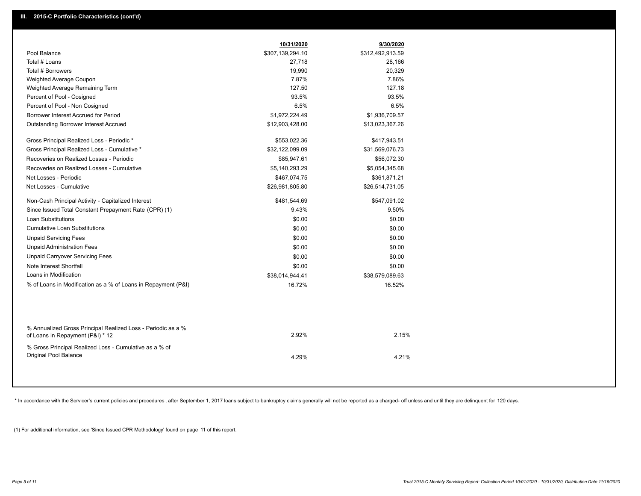|                                                                                                  | 10/31/2020       | 9/30/2020        |
|--------------------------------------------------------------------------------------------------|------------------|------------------|
| Pool Balance                                                                                     | \$307,139,294.10 | \$312,492,913.59 |
| Total # Loans                                                                                    | 27,718           | 28,166           |
| Total # Borrowers                                                                                | 19,990           | 20,329           |
| Weighted Average Coupon                                                                          | 7.87%            | 7.86%            |
| Weighted Average Remaining Term                                                                  | 127.50           | 127.18           |
| Percent of Pool - Cosigned                                                                       | 93.5%            | 93.5%            |
| Percent of Pool - Non Cosigned                                                                   | 6.5%             | 6.5%             |
| Borrower Interest Accrued for Period                                                             | \$1,972,224.49   | \$1,936,709.57   |
| Outstanding Borrower Interest Accrued                                                            | \$12,903,428.00  | \$13,023,367.26  |
| Gross Principal Realized Loss - Periodic *                                                       | \$553,022.36     | \$417,943.51     |
| Gross Principal Realized Loss - Cumulative *                                                     | \$32,122,099.09  | \$31,569,076.73  |
| Recoveries on Realized Losses - Periodic                                                         | \$85,947.61      | \$56,072.30      |
| Recoveries on Realized Losses - Cumulative                                                       | \$5,140,293.29   | \$5,054,345.68   |
| Net Losses - Periodic                                                                            | \$467,074.75     | \$361,871.21     |
| Net Losses - Cumulative                                                                          | \$26,981,805.80  | \$26,514,731.05  |
| Non-Cash Principal Activity - Capitalized Interest                                               | \$481,544.69     | \$547,091.02     |
| Since Issued Total Constant Prepayment Rate (CPR) (1)                                            | 9.43%            | 9.50%            |
| Loan Substitutions                                                                               | \$0.00           | \$0.00           |
| <b>Cumulative Loan Substitutions</b>                                                             | \$0.00           | \$0.00           |
| <b>Unpaid Servicing Fees</b>                                                                     | \$0.00           | \$0.00           |
| <b>Unpaid Administration Fees</b>                                                                | \$0.00           | \$0.00           |
| <b>Unpaid Carryover Servicing Fees</b>                                                           | \$0.00           | \$0.00           |
| Note Interest Shortfall                                                                          | \$0.00           | \$0.00           |
| Loans in Modification                                                                            | \$38,014,944.41  | \$38,579,089.63  |
| % of Loans in Modification as a % of Loans in Repayment (P&I)                                    | 16.72%           | 16.52%           |
|                                                                                                  |                  |                  |
|                                                                                                  |                  |                  |
| % Annualized Gross Principal Realized Loss - Periodic as a %<br>of Loans in Repayment (P&I) * 12 | 2.92%            | 2.15%            |
| % Gross Principal Realized Loss - Cumulative as a % of                                           |                  |                  |
| Original Pool Balance                                                                            | 4.29%            | 4.21%            |

\* In accordance with the Servicer's current policies and procedures, after September 1, 2017 loans subject to bankruptcy claims generally will not be reported as a charged- off unless and until they are delinquent for 120

(1) For additional information, see 'Since Issued CPR Methodology' found on page 11 of this report.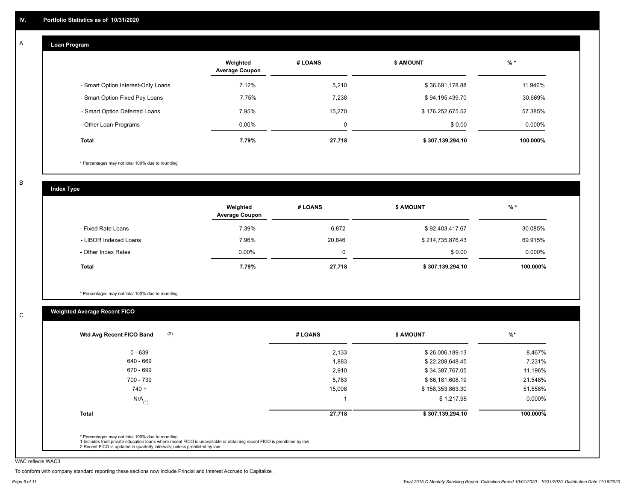#### **Loan Program**  A

|                                    | Weighted<br><b>Average Coupon</b> | # LOANS     | <b>\$ AMOUNT</b> | $%$ *    |
|------------------------------------|-----------------------------------|-------------|------------------|----------|
| - Smart Option Interest-Only Loans | 7.12%                             | 5,210       | \$36,691,178.88  | 11.946%  |
| - Smart Option Fixed Pay Loans     | 7.75%                             | 7,238       | \$94,195,439.70  | 30.669%  |
| - Smart Option Deferred Loans      | 7.95%                             | 15.270      | \$176,252,675.52 | 57.385%  |
| - Other Loan Programs              | $0.00\%$                          | $\mathbf 0$ | \$0.00           | 0.000%   |
| <b>Total</b>                       | 7.79%                             | 27,718      | \$307,139,294.10 | 100.000% |

\* Percentages may not total 100% due to rounding

B

C

**Index Type**

|                       | Weighted<br><b>Average Coupon</b> | # LOANS     | <b>\$ AMOUNT</b> | $%$ *    |
|-----------------------|-----------------------------------|-------------|------------------|----------|
| - Fixed Rate Loans    | 7.39%                             | 6,872       | \$92,403,417.67  | 30.085%  |
| - LIBOR Indexed Loans | 7.96%                             | 20,846      | \$214,735,876.43 | 69.915%  |
| - Other Index Rates   | $0.00\%$                          | $\mathbf 0$ | \$0.00           | 0.000%   |
| <b>Total</b>          | 7.79%                             | 27,718      | \$307,139,294.10 | 100.000% |

\* Percentages may not total 100% due to rounding

## **Weighted Average Recent FICO**

| (2)<br>Wtd Avg Recent FICO Band | # LOANS | <b>S AMOUNT</b>  | $%$ *     |
|---------------------------------|---------|------------------|-----------|
| $0 - 639$                       | 2,133   | \$26,006,189.13  | 8.467%    |
| 640 - 669                       | 1,883   | \$22,208,648.45  | 7.231%    |
| 670 - 699                       | 2,910   | \$34,387,767.05  | 11.196%   |
| 700 - 739                       | 5,783   | \$66,181,608.19  | 21.548%   |
| $740 +$                         | 15,008  | \$158,353,863.30 | 51.558%   |
| $N/A$ <sub>(1)</sub>            |         | \$1,217.98       | $0.000\%$ |
| <b>Total</b>                    | 27,718  | \$307,139,294.10 | 100.000%  |

WAC reflects WAC3

To conform with company standard reporting these sections now include Princial and Interest Accrued to Capitalize .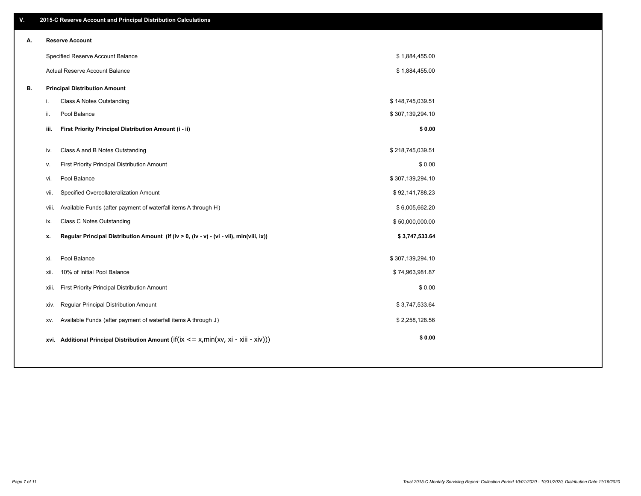| V. |       | 2015-C Reserve Account and Principal Distribution Calculations                             |                  |  |
|----|-------|--------------------------------------------------------------------------------------------|------------------|--|
| А. |       | <b>Reserve Account</b>                                                                     |                  |  |
|    |       | Specified Reserve Account Balance                                                          | \$1,884,455.00   |  |
|    |       | Actual Reserve Account Balance                                                             | \$1,884,455.00   |  |
| В. |       | <b>Principal Distribution Amount</b>                                                       |                  |  |
|    | i.    | Class A Notes Outstanding                                                                  | \$148,745,039.51 |  |
|    | ji.   | Pool Balance                                                                               | \$307,139,294.10 |  |
|    | iii.  | First Priority Principal Distribution Amount (i - ii)                                      | \$0.00           |  |
|    | iv.   | Class A and B Notes Outstanding                                                            | \$218,745,039.51 |  |
|    | v.    | First Priority Principal Distribution Amount                                               | \$0.00           |  |
|    | vi.   | Pool Balance                                                                               | \$307,139,294.10 |  |
|    | vii.  | Specified Overcollateralization Amount                                                     | \$92,141,788.23  |  |
|    | viii. | Available Funds (after payment of waterfall items A through H)                             | \$6,005,662.20   |  |
|    | ix.   | <b>Class C Notes Outstanding</b>                                                           | \$50,000,000.00  |  |
|    | х.    | Regular Principal Distribution Amount (if (iv > 0, (iv - v) - (vi - vii), min(viii, ix))   | \$3,747,533.64   |  |
|    |       |                                                                                            |                  |  |
|    | xi.   | Pool Balance                                                                               | \$307,139,294.10 |  |
|    | xii.  | 10% of Initial Pool Balance                                                                | \$74,963,981.87  |  |
|    | xiii. | First Priority Principal Distribution Amount                                               | \$0.00           |  |
|    | XIV.  | Regular Principal Distribution Amount                                                      | \$3,747,533.64   |  |
|    | XV.   | Available Funds (after payment of waterfall items A through J)                             | \$2,258,128.56   |  |
|    |       | xvi. Additional Principal Distribution Amount (if(ix $\lt$ = x, min(xv, xi - xiii - xiv))) | \$0.00           |  |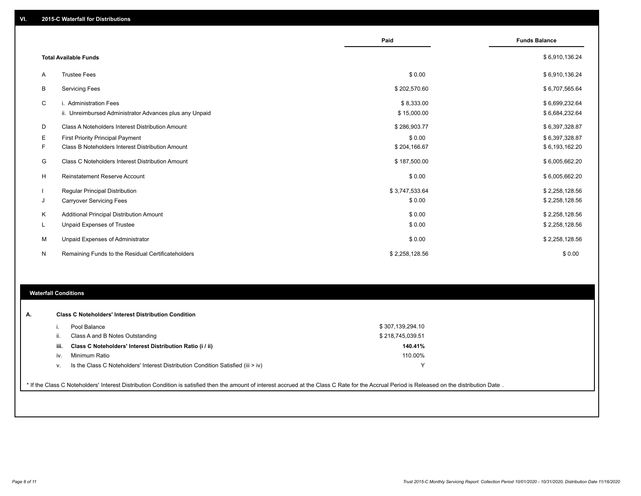|    |                                                         | Paid           | <b>Funds Balance</b> |
|----|---------------------------------------------------------|----------------|----------------------|
|    | <b>Total Available Funds</b>                            |                | \$6,910,136.24       |
| A  | <b>Trustee Fees</b>                                     | \$0.00         | \$6,910,136.24       |
| В  | <b>Servicing Fees</b>                                   | \$202,570.60   | \$6,707,565.64       |
| C  | i. Administration Fees                                  | \$8,333.00     | \$6,699,232.64       |
|    | ii. Unreimbursed Administrator Advances plus any Unpaid | \$15,000.00    | \$6,684,232.64       |
| D  | Class A Noteholders Interest Distribution Amount        | \$286,903.77   | \$6,397,328.87       |
| Е  | First Priority Principal Payment                        | \$0.00         | \$6,397,328.87       |
| F. | <b>Class B Noteholders Interest Distribution Amount</b> | \$204,166.67   | \$6,193,162.20       |
| G  | <b>Class C Noteholders Interest Distribution Amount</b> | \$187,500.00   | \$6,005,662.20       |
| H  | <b>Reinstatement Reserve Account</b>                    | \$0.00         | \$6,005,662.20       |
|    | Regular Principal Distribution                          | \$3,747,533.64 | \$2,258,128.56       |
| J  | <b>Carryover Servicing Fees</b>                         | \$0.00         | \$2,258,128.56       |
| K  | Additional Principal Distribution Amount                | \$0.00         | \$2,258,128.56       |
| L  | Unpaid Expenses of Trustee                              | \$0.00         | \$2,258,128.56       |
| м  | Unpaid Expenses of Administrator                        | \$0.00         | \$2,258,128.56       |
| N  | Remaining Funds to the Residual Certificateholders      | \$2,258,128.56 | \$0.00               |

## **Waterfall Conditions**

| А. |      | <b>Class C Noteholders' Interest Distribution Condition</b>                                                                                                                                      |                  |  |
|----|------|--------------------------------------------------------------------------------------------------------------------------------------------------------------------------------------------------|------------------|--|
|    |      | Pool Balance                                                                                                                                                                                     | \$307,139,294.10 |  |
|    |      | Class A and B Notes Outstanding                                                                                                                                                                  | \$218,745,039.51 |  |
|    | iii. | Class C Noteholders' Interest Distribution Ratio (i / ii)                                                                                                                                        | 140.41%          |  |
|    | iv.  | Minimum Ratio                                                                                                                                                                                    | 110.00%          |  |
|    | v.   | Is the Class C Noteholders' Interest Distribution Condition Satisfied (iii $>$ iv)                                                                                                               |                  |  |
|    |      |                                                                                                                                                                                                  |                  |  |
|    |      | * If the Class C Noteholders' Interest Distribution Condition is satisfied then the amount of interest accrued at the Class C Rate for the Accrual Period is Released on the distribution Date . |                  |  |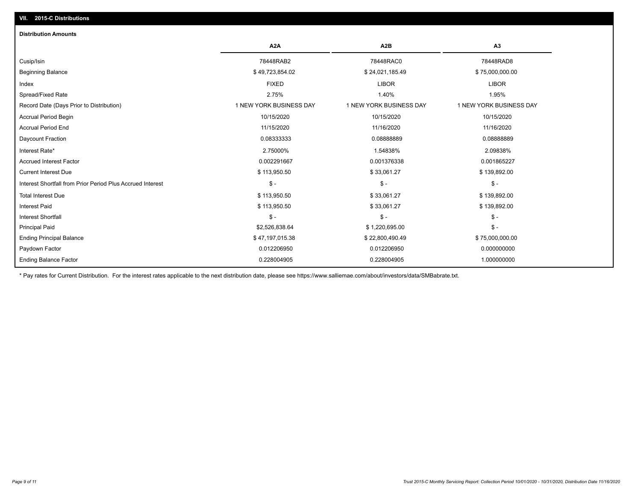## Paydown Factor 0.012206950 0.012206950 0.000000000 Ending Principal Balance \$ 75,000,000.00 \$ 47,197,015.38 \$ \$ 47,197,015.38 \$ 22,800,490.49 \$ 75,000,000.00 Principal Paid \$2,526,838.64 \$ 1,220,695.00 \$ - Interest Shortfall \$ - \$ - \$ - Interest Paid \$ 113,950.50 \$ 33,061.27 \$ 139,892.00 Total Interest Due \$ 113,950.50 \$ 33,061.27 \$ 139,892.00 Interest Shortfall from Prior Period Plus Accrued Interest \$ - \$ - \$ - Current Interest Due \$ 113,950.50 \$ 33,061.27 \$ 139,892.00 Accrued Interest Factor 0.002291667 0.001376338 0.001865227 Interest Rate\* 2.75000% 1.54838% 2.09838% Daycount Fraction 0.08333333 0.08888889 0.08888889 Accrual Period End 11/15/2020 11/16/2020 11/16/2020 Accrual Period Begin 20115/2020 20 10/15/2020 10/15/2020 10/15/2020 10/15/2020 10/15/2020 10/15/2020 10/15/2020 Record Date (Days Prior to Distribution) 1 1 NEW YORK BUSINESS DAY 1 NEW YORK BUSINESS DAY 1 NEW YORK BUSINESS DAY Spread/Fixed Rate 2.75% 1.40% 1.95% Index FIXED LIBOR LIBOR Beginning Balance \$ 75,000,000.00 \$ \$ \$ \$ 34,723,854.02 \$ 24,021,185.49 \$ \$ 75,000,000.00 \$ 75,000,000.00 Cusip/Isin 78448RAB2 78448RAC0 78448RAD8 **A2A A2B A3 Distribution Amounts VII. 2015-C Distributions**

0.228004905 0.228004905 1.000000000

\* Pay rates for Current Distribution. For the interest rates applicable to the next distribution date, please see https://www.salliemae.com/about/investors/data/SMBabrate.txt.

Ending Balance Factor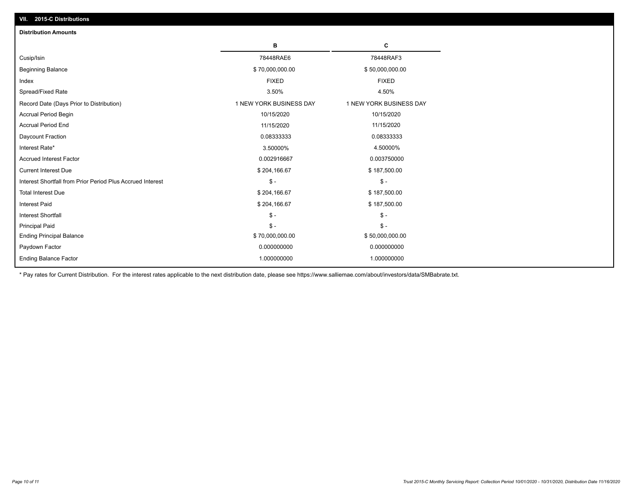| <b>Distribution Amounts</b>                                |                         |                         |
|------------------------------------------------------------|-------------------------|-------------------------|
|                                                            | в                       | C                       |
| Cusip/Isin                                                 | 78448RAE6               | 78448RAF3               |
| <b>Beginning Balance</b>                                   | \$70,000,000.00         | \$50,000,000.00         |
| Index                                                      | <b>FIXED</b>            | <b>FIXED</b>            |
| Spread/Fixed Rate                                          | 3.50%                   | 4.50%                   |
| Record Date (Days Prior to Distribution)                   | 1 NEW YORK BUSINESS DAY | 1 NEW YORK BUSINESS DAY |
| <b>Accrual Period Begin</b>                                | 10/15/2020              | 10/15/2020              |
| <b>Accrual Period End</b>                                  | 11/15/2020              | 11/15/2020              |
| Daycount Fraction                                          | 0.08333333              | 0.08333333              |
| Interest Rate*                                             | 3.50000%                | 4.50000%                |
| <b>Accrued Interest Factor</b>                             | 0.002916667             | 0.003750000             |
| <b>Current Interest Due</b>                                | \$204,166.67            | \$187,500.00            |
| Interest Shortfall from Prior Period Plus Accrued Interest | $\mathsf{\$}$ -         | $\mathsf{\$}$ -         |
| <b>Total Interest Due</b>                                  | \$204,166.67            | \$187,500.00            |
| <b>Interest Paid</b>                                       | \$204,166.67            | \$187,500.00            |
| <b>Interest Shortfall</b>                                  | $\mathsf{\$}$ -         | $\frac{1}{2}$           |
| <b>Principal Paid</b>                                      | $\mathsf{\$}$ -         | $$ -$                   |
| <b>Ending Principal Balance</b>                            | \$70,000,000.00         | \$50,000,000.00         |
| Paydown Factor                                             | 0.000000000             | 0.000000000             |
| <b>Ending Balance Factor</b>                               | 1.000000000             | 1.000000000             |

\* Pay rates for Current Distribution. For the interest rates applicable to the next distribution date, please see https://www.salliemae.com/about/investors/data/SMBabrate.txt.

**VII. 2015-C Distributions**